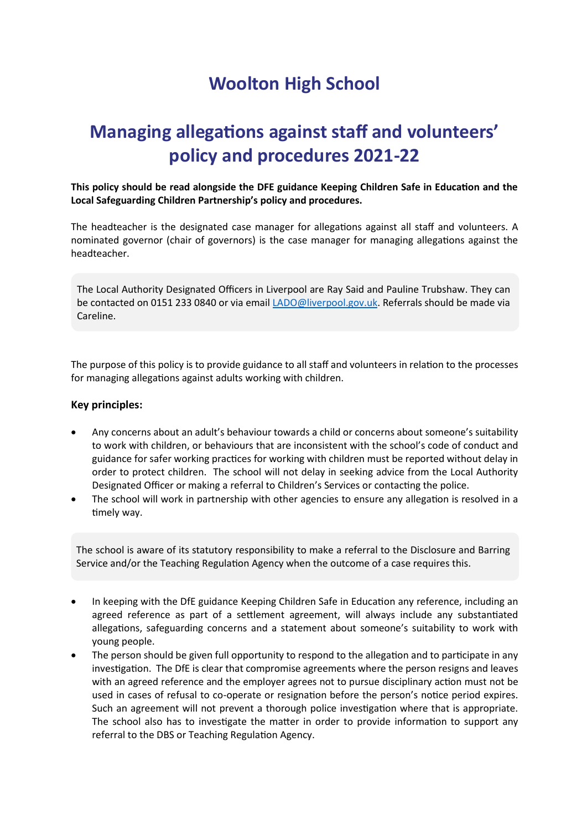## **Woolton High School**

## **Managing allegations against staff and volunteers' policy and procedures 2021-22**

**This policy should be read alongside the DFE guidance Keeping Children Safe in Education and the Local Safeguarding Children Partnership's policy and procedures.** 

The headteacher is the designated case manager for allegations against all staff and volunteers. A nominated governor (chair of governors) is the case manager for managing allegations against the headteacher.

The Local Authority Designated Officers in Liverpool are Ray Said and Pauline Trubshaw. They can be contacted on 0151 233 0840 or via emai[l LADO@liverpool.gov.uk.](mailto:LADO@liverpool.gov.uk) Referrals should be made via Careline.

The purpose of this policy is to provide guidance to all staff and volunteers in relation to the processes for managing allegations against adults working with children.

#### **Key principles:**

- Any concerns about an adult's behaviour towards a child or concerns about someone's suitability to work with children, or behaviours that are inconsistent with the school's code of conduct and guidance for safer working practices for working with children must be reported without delay in order to protect children. The school will not delay in seeking advice from the Local Authority Designated Officer or making a referral to Children's Services or contacting the police.
- The school will work in partnership with other agencies to ensure any allegation is resolved in a timely way.

The school is aware of its statutory responsibility to make a referral to the Disclosure and Barring Service and/or the Teaching Regulation Agency when the outcome of a case requires this.

- In keeping with the DfE guidance Keeping Children Safe in Education any reference, including an agreed reference as part of a settlement agreement, will always include any substantiated allegations, safeguarding concerns and a statement about someone's suitability to work with young people.
- The person should be given full opportunity to respond to the allegation and to participate in any investigation. The DfE is clear that compromise agreements where the person resigns and leaves with an agreed reference and the employer agrees not to pursue disciplinary action must not be used in cases of refusal to co-operate or resignation before the person's notice period expires. Such an agreement will not prevent a thorough police investigation where that is appropriate. The school also has to investigate the matter in order to provide information to support any referral to the DBS or Teaching Regulation Agency.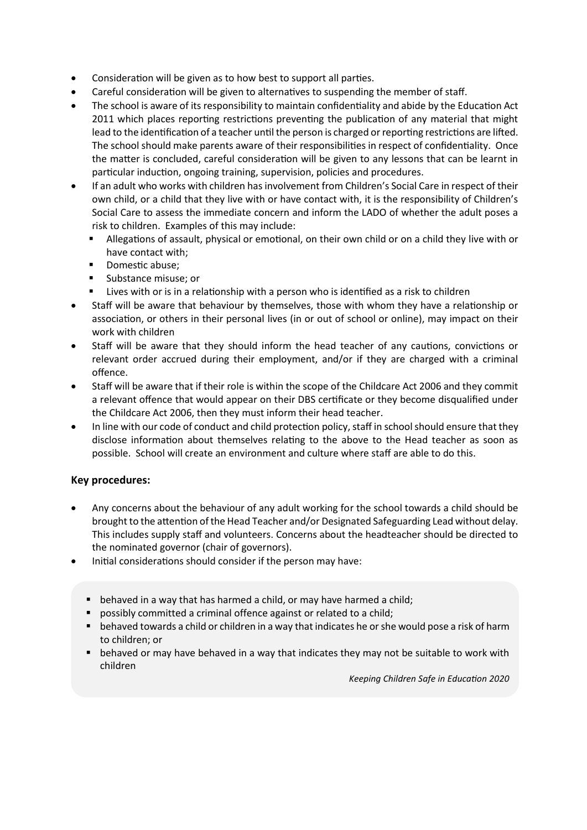- Consideration will be given as to how best to support all parties.
- Careful consideration will be given to alternatives to suspending the member of staff.
- The school is aware of its responsibility to maintain confidentiality and abide by the Education Act 2011 which places reporting restrictions preventing the publication of any material that might lead to the identification of a teacher until the person is charged or reporting restrictions are lifted. The school should make parents aware of their responsibilities in respect of confidentiality. Once the matter is concluded, careful consideration will be given to any lessons that can be learnt in particular induction, ongoing training, supervision, policies and procedures.
- If an adult who works with children has involvement from Children's Social Care in respect of their own child, or a child that they live with or have contact with, it is the responsibility of Children's Social Care to assess the immediate concern and inform the LADO of whether the adult poses a risk to children. Examples of this may include:
	- **EXECT** Allegations of assault, physical or emotional, on their own child or on a child they live with or have contact with;
	- Domestic abuse:
	- Substance misuse; or
	- Lives with or is in a relationship with a person who is identified as a risk to children
- Staff will be aware that behaviour by themselves, those with whom they have a relationship or association, or others in their personal lives (in or out of school or online), may impact on their work with children
- Staff will be aware that they should inform the head teacher of any cautions, convictions or relevant order accrued during their employment, and/or if they are charged with a criminal offence.
- Staff will be aware that if their role is within the scope of the Childcare Act 2006 and they commit a relevant offence that would appear on their DBS certificate or they become disqualified under the Childcare Act 2006, then they must inform their head teacher.
- In line with our code of conduct and child protection policy, staff in school should ensure that they disclose information about themselves relating to the above to the Head teacher as soon as possible. School will create an environment and culture where staff are able to do this.

### **Key procedures:**

- Any concerns about the behaviour of any adult working for the school towards a child should be brought to the attention of the Head Teacher and/or Designated Safeguarding Lead without delay. This includes supply staff and volunteers. Concerns about the headteacher should be directed to the nominated governor (chair of governors).
- Initial considerations should consider if the person may have:
	- behaved in a way that has harmed a child, or may have harmed a child;
	- possibly committed a criminal offence against or related to a child;
	- behaved towards a child or children in a way that indicates he or she would pose a risk of harm to children; or
	- behaved or may have behaved in a way that indicates they may not be suitable to work with children

*Keeping Children Safe in Education 2020*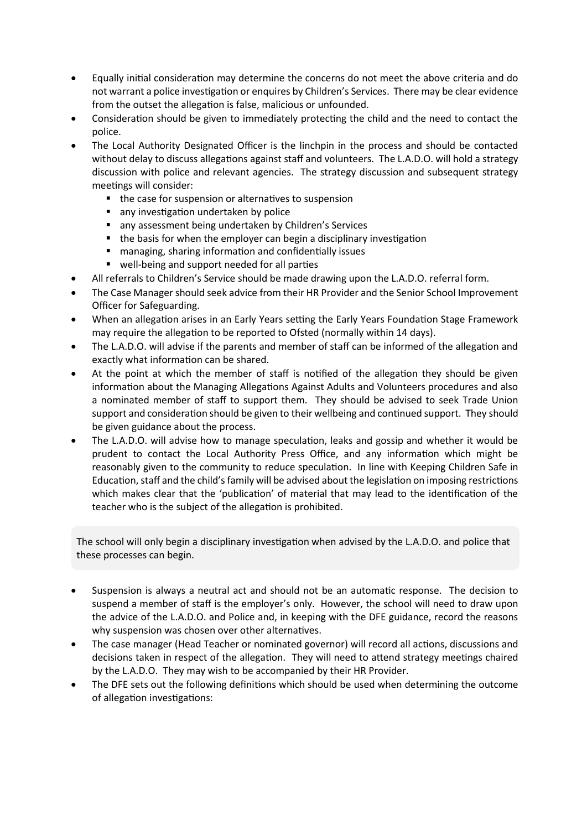- Equally initial consideration may determine the concerns do not meet the above criteria and do not warrant a police investigation or enquires by Children's Services. There may be clear evidence from the outset the allegation is false, malicious or unfounded.
- Consideration should be given to immediately protecting the child and the need to contact the police.
- The Local Authority Designated Officer is the linchpin in the process and should be contacted without delay to discuss allegations against staff and volunteers. The L.A.D.O. will hold a strategy discussion with police and relevant agencies. The strategy discussion and subsequent strategy meetings will consider:
	- the case for suspension or alternatives to suspension
	- any investigation undertaken by police
	- any assessment being undertaken by Children's Services
	- the basis for when the employer can begin a disciplinary investigation
	- managing, sharing information and confidentially issues
	- well-being and support needed for all parties
- All referrals to Children's Service should be made drawing upon the L.A.D.O. referral form.
- The Case Manager should seek advice from their HR Provider and the Senior School Improvement Officer for Safeguarding.
- When an allegation arises in an Early Years setting the Early Years Foundation Stage Framework may require the allegation to be reported to Ofsted (normally within 14 days).
- The L.A.D.O. will advise if the parents and member of staff can be informed of the allegation and exactly what information can be shared.
- At the point at which the member of staff is notified of the allegation they should be given information about the Managing Allegations Against Adults and Volunteers procedures and also a nominated member of staff to support them. They should be advised to seek Trade Union support and consideration should be given to their wellbeing and continued support. They should be given guidance about the process.
- The L.A.D.O. will advise how to manage speculation, leaks and gossip and whether it would be prudent to contact the Local Authority Press Office, and any information which might be reasonably given to the community to reduce speculation. In line with Keeping Children Safe in Education, staff and the child's family will be advised about the legislation on imposing restrictions which makes clear that the 'publication' of material that may lead to the identification of the teacher who is the subject of the allegation is prohibited.

The school will only begin a disciplinary investigation when advised by the L.A.D.O. and police that these processes can begin.

- Suspension is always a neutral act and should not be an automatic response. The decision to suspend a member of staff is the employer's only. However, the school will need to draw upon the advice of the L.A.D.O. and Police and, in keeping with the DFE guidance, record the reasons why suspension was chosen over other alternatives.
- The case manager (Head Teacher or nominated governor) will record all actions, discussions and decisions taken in respect of the allegation. They will need to attend strategy meetings chaired by the L.A.D.O. They may wish to be accompanied by their HR Provider.
- The DFE sets out the following definitions which should be used when determining the outcome of allegation investigations: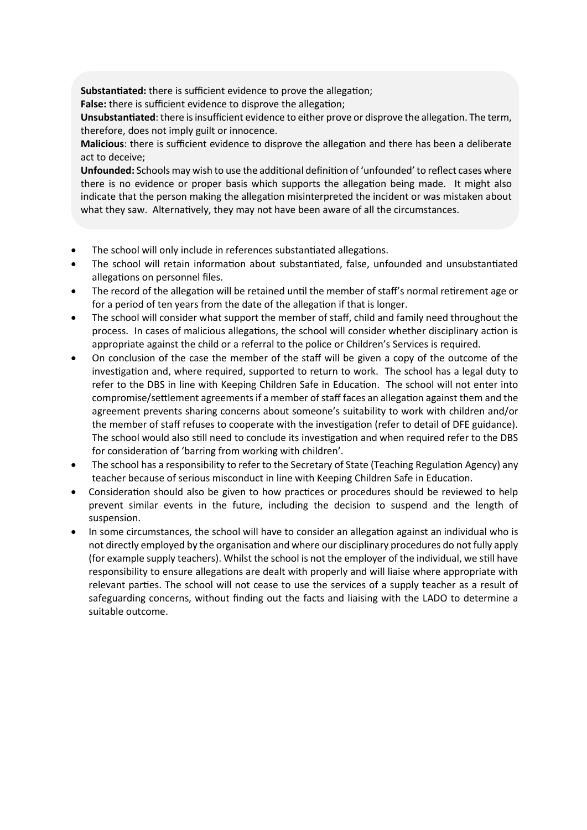**Substantiated:** there is sufficient evidence to prove the allegation;

**False:** there is sufficient evidence to disprove the allegation;

**Unsubstantiated**: there is insufficient evidence to either prove or disprove the allegation. The term, therefore, does not imply guilt or innocence.

**Malicious**: there is sufficient evidence to disprove the allegation and there has been a deliberate act to deceive;

**Unfounded:** Schools may wish to use the additional definition of 'unfounded' to reflect cases where there is no evidence or proper basis which supports the allegation being made. It might also indicate that the person making the allegation misinterpreted the incident or was mistaken about what they saw. Alternatively, they may not have been aware of all the circumstances.

- The school will only include in references substantiated allegations.
- The school will retain information about substantiated, false, unfounded and unsubstantiated allegations on personnel files.
- The record of the allegation will be retained until the member of staff's normal retirement age or for a period of ten years from the date of the allegation if that is longer.
- The school will consider what support the member of staff, child and family need throughout the process. In cases of malicious allegations, the school will consider whether disciplinary action is appropriate against the child or a referral to the police or Children's Services is required.
- On conclusion of the case the member of the staff will be given a copy of the outcome of the investigation and, where required, supported to return to work. The school has a legal duty to refer to the DBS in line with Keeping Children Safe in Education. The school will not enter into compromise/settlement agreements if a member of staff faces an allegation against them and the agreement prevents sharing concerns about someone's suitability to work with children and/or the member of staff refuses to cooperate with the investigation (refer to detail of DFE guidance). The school would also still need to conclude its investigation and when required refer to the DBS for consideration of 'barring from working with children'.
- The school has a responsibility to refer to the Secretary of State (Teaching Regulation Agency) any teacher because of serious misconduct in line with Keeping Children Safe in Education.
- Consideration should also be given to how practices or procedures should be reviewed to help prevent similar events in the future, including the decision to suspend and the length of suspension.
- In some circumstances, the school will have to consider an allegation against an individual who is not directly employed by the organisation and where our disciplinary procedures do not fully apply (for example supply teachers). Whilst the school is not the employer of the individual, we still have responsibility to ensure allegations are dealt with properly and will liaise where appropriate with relevant parties. The school will not cease to use the services of a supply teacher as a result of safeguarding concerns, without finding out the facts and liaising with the LADO to determine a suitable outcome.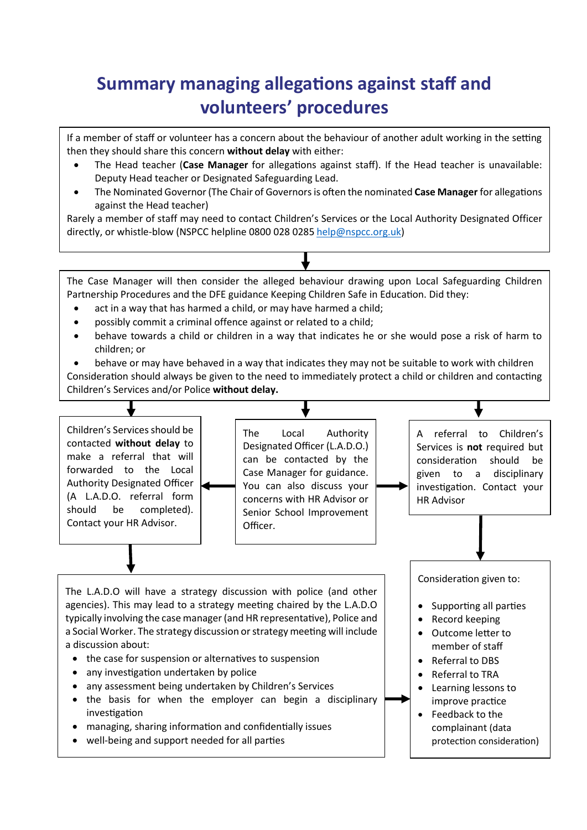# **Summary managing allegations against staff and volunteers' procedures**

If a member of staff or volunteer has a concern about the behaviour of another adult working in the setting then they should share this concern **without delay** with either:

- The Head teacher (**Case Manager** for allegations against staff). If the Head teacher is unavailable: Deputy Head teacher or Designated Safeguarding Lead.
- The Nominated Governor (The Chair of Governors is often the nominated **Case Manager** for allegations against the Head teacher)

Rarely a member of staff may need to contact Children's Services or the Local Authority Designated Officer directly, or whistle-blow (NSPCC helpline 0800 028 028[5 help@nspcc.org.uk\)](mailto:help@nspcc.org.uk)

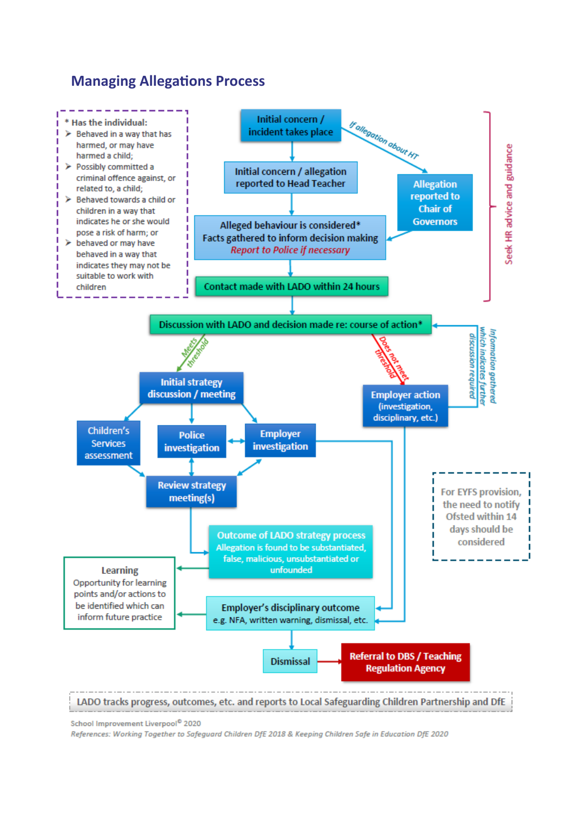## **Managing Allegations Process**



School Improvement Liverpool<sup>®</sup> 2020

References: Working Together to Safeguard Children DfE 2018 & Keeping Children Safe in Education DfE 2020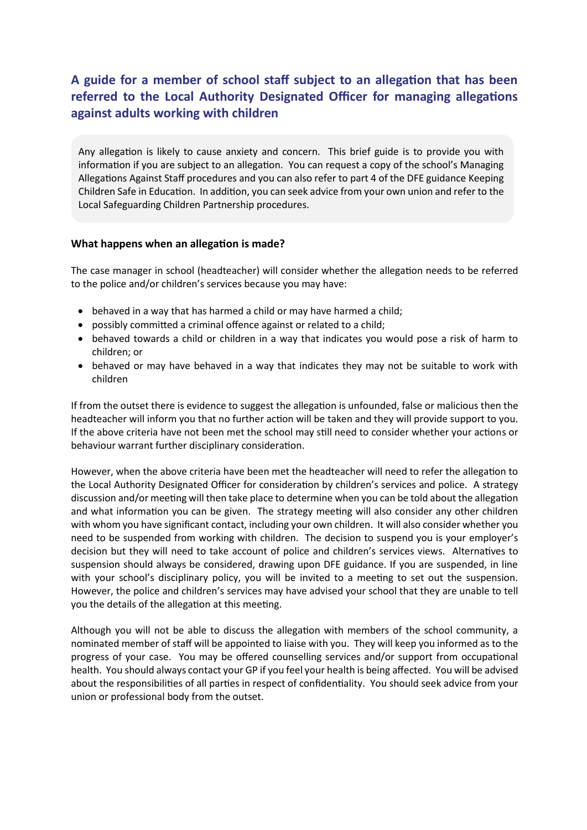## **A guide for a member of school staff subject to an allegation that has been referred to the Local Authority Designated Officer for managing allegations against adults working with children**

Any allegation is likely to cause anxiety and concern. This brief guide is to provide you with information if you are subject to an allegation. You can request a copy of the school's Managing Allegations Against Staff procedures and you can also refer to part 4 of the DFE guidance Keeping Children Safe in Education. In addition, you can seek advice from your own union and refer to the Local Safeguarding Children Partnership procedures.

#### **What happens when an allegation is made?**

The case manager in school (headteacher) will consider whether the allegation needs to be referred to the police and/or children's services because you may have:

- behaved in a way that has harmed a child or may have harmed a child;
- possibly committed a criminal offence against or related to a child;
- behaved towards a child or children in a way that indicates you would pose a risk of harm to children; or
- behaved or may have behaved in a way that indicates they may not be suitable to work with children

If from the outset there is evidence to suggest the allegation is unfounded, false or malicious then the headteacher will inform you that no further action will be taken and they will provide support to you. If the above criteria have not been met the school may still need to consider whether your actions or behaviour warrant further disciplinary consideration.

However, when the above criteria have been met the headteacher will need to refer the allegation to the Local Authority Designated Officer for consideration by children's services and police. A strategy discussion and/or meeting will then take place to determine when you can be told about the allegation and what information you can be given. The strategy meeting will also consider any other children with whom you have significant contact, including your own children. It will also consider whether you need to be suspended from working with children. The decision to suspend you is your employer's decision but they will need to take account of police and children's services views. Alternatives to suspension should always be considered, drawing upon DFE guidance. If you are suspended, in line with your school's disciplinary policy, you will be invited to a meeting to set out the suspension. However, the police and children's services may have advised your school that they are unable to tell you the details of the allegation at this meeting.

Although you will not be able to discuss the allegation with members of the school community, a nominated member of staff will be appointed to liaise with you. They will keep you informed as to the progress of your case. You may be offered counselling services and/or support from occupational health. You should always contact your GP if you feel your health is being affected. You will be advised about the responsibilities of all parties in respect of confidentiality. You should seek advice from your union or professional body from the outset.